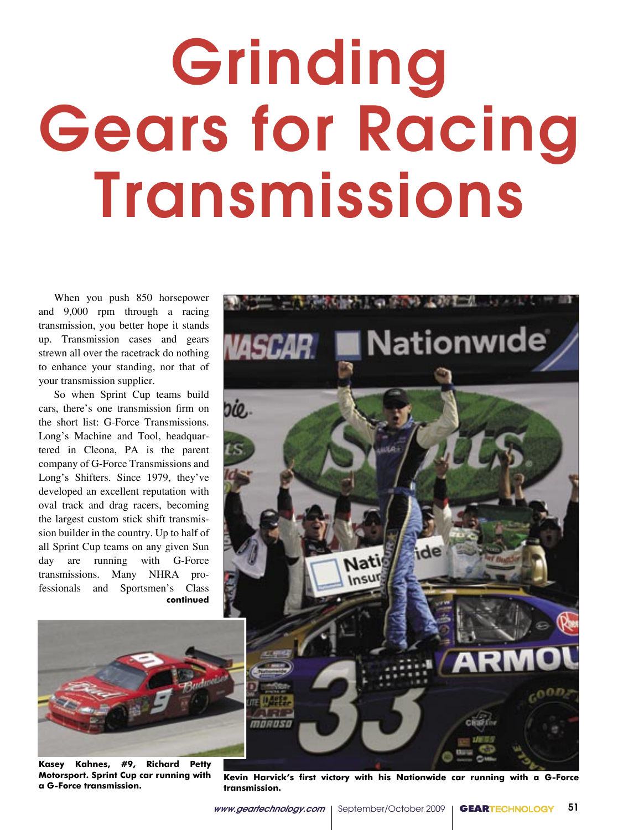# Grinding Gears for Racing Transmissions

When you push 850 horsepower and 9,000 rpm through a racing transmission, you better hope it stands up. Transmission cases and gears strewn all over the racetrack do nothing to enhance your standing, nor that of your transmission supplier.

So when Sprint Cup teams build cars, there's one transmission firm on the short list: G-Force Transmissions. Long's Machine and Tool, headquartered in Cleona, PA is the parent company of G-Force Transmissions and Long's Shifters. Since 1979, they've developed an excellent reputation with oval track and drag racers, becoming the largest custom stick shift transmission builder in the country. Up to half of all Sprint Cup teams on any given Sun day are running with G-Force transmissions. Many NHRA professionals and Sportsmen's Class **continued**



**Kasey Kahnes, #9, Richard Petty Motorsport. Sprint Cup car running with a G-Force transmission.**



**Kevin Harvick's first victory with his Nationwide car running with a G-Force transmission.**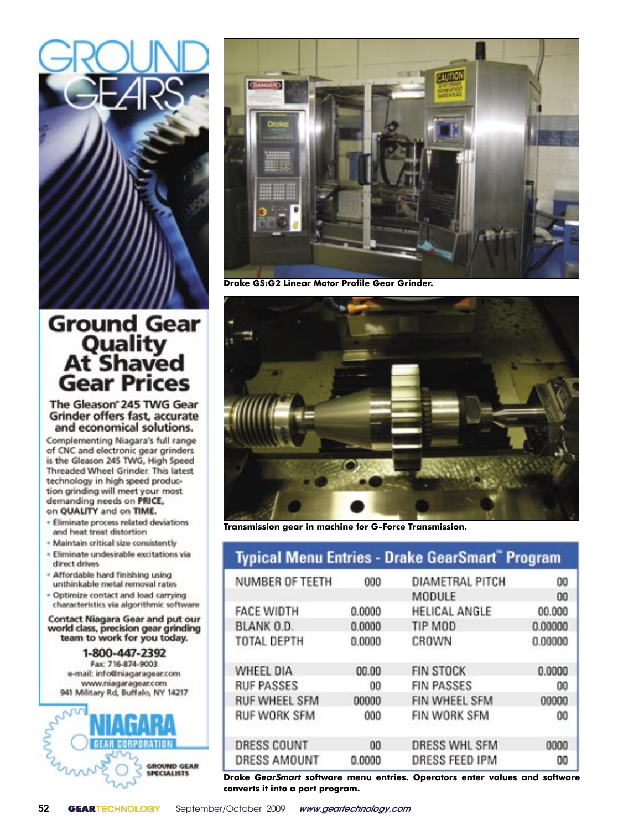

# Ground Gear<br>Quality<br>At Shaved **Gear Prices**

The Gleason<sup>®</sup> 245 TWG Gear **Grinder offers fast, accurate** and economical solutions.

Complementing Niagara's full range of CNC and electronic gear grinders is the Gleason 245 TWG, High Speed Threaded Wheel Grinder. This latest technology in high speed production grinding will meet your most demanding needs on PRICE, on QUALITY and on TIME.

- · Eliminate process related deviations and heat treat distortion
- · Maintain critical size consistently
- · Eliminate undesirable excitations via direct drives
- \* Affordable hard finishing using unthinkable metal removal rates
- . Optimize contact and load carrying characteristics via algorithmic software

**Contact Niagara Gear and put our** world class, precision gear grinding<br>team to work for you today.

1-800-447-2392 Fax: 716-874-9003 e-mail: info@niagaragear.com www.niagaragear.com 941 Military Rd, Buffalo, NY 14217





**Drake GS:G2 Linear Motor Profile Gear Grinder.**



**Transmission gear in machine for G-Force Transmission.**

| <b>Typical Menu Entries - Drake GearSmart<sup>®</sup> Program</b> |                       |         |  |
|-------------------------------------------------------------------|-----------------------|---------|--|
| 000                                                               | DIAMETRAL PITCH       | $^{00}$ |  |
|                                                                   | MODULE                | 00      |  |
| 0.0000                                                            | HELICAL ANGLE         | 00.000  |  |
| 0.0000                                                            | TIP MOD               | 0.00000 |  |
| 0.0000                                                            | CROWN                 | 0.00000 |  |
| 00.00                                                             | <b>FIN STOCK</b>      | 0.0000  |  |
| 00                                                                | <b>FIN PASSES</b>     | $^{00}$ |  |
| 00000                                                             | FIN WHEEL SFM         | 00000   |  |
| 000                                                               | FIN WORK SFM          | 00      |  |
| 00                                                                | <b>DRESS WHL SFM</b>  | 0000    |  |
| 0.0000                                                            | <b>DRESS FEED IPM</b> | 00      |  |
|                                                                   |                       |         |  |

**Drake** *GearSmart* **software menu entries. Operators enter values and software converts it into a part program.**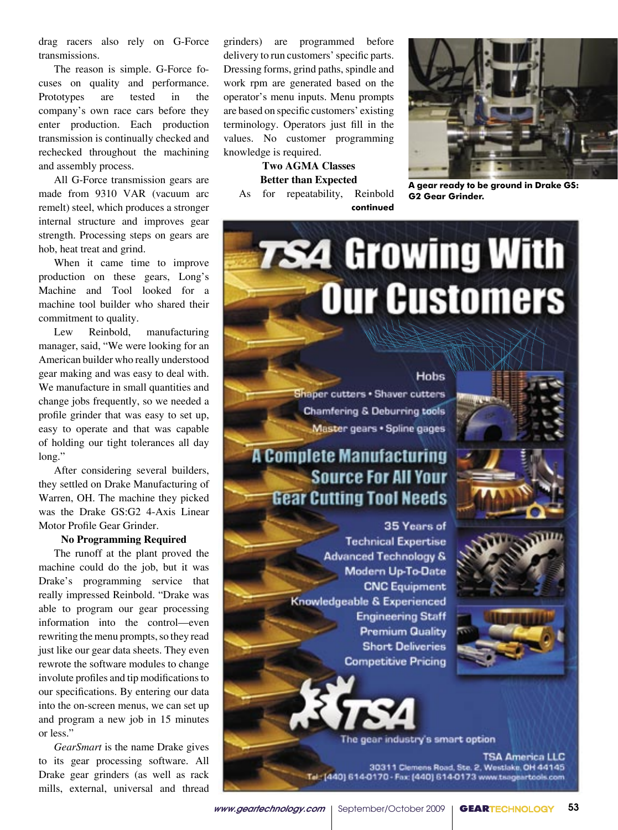drag racers also rely on G-Force transmissions.

The reason is simple. G-Force focuses on quality and performance. tested **Prototypes** are in the company's own race cars before they enter production. Each production transmission is continually checked and rechecked throughout the machining and assembly process.

All G-Force transmission gears are made from 9310 VAR (vacuum arc remelt) steel, which produces a stronger internal structure and improves gear strength. Processing steps on gears are hob, heat treat and grind.

When it came time to improve production on these gears, Long's Machine and Tool looked for a machine tool builder who shared their commitment to quality.

Lew Reinbold. manufacturing manager, said, "We were looking for an American builder who really understood gear making and was easy to deal with. We manufacture in small quantities and change jobs frequently, so we needed a profile grinder that was easy to set up, easy to operate and that was capable of holding our tight tolerances all day long."

After considering several builders, they settled on Drake Manufacturing of Warren, OH. The machine they picked was the Drake GS:G2 4-Axis Linear Motor Profile Gear Grinder.

### **No Programming Required**

The runoff at the plant proved the machine could do the job, but it was Drake's programming service that really impressed Reinbold. "Drake was able to program our gear processing information into the control—even rewriting the menu prompts, so they read just like our gear data sheets. They even rewrote the software modules to change involute profiles and tip modifications to our specifications. By entering our data into the on-screen menus, we can set up and program a new job in 15 minutes or less."

GearSmart is the name Drake gives to its gear processing software. All Drake gear grinders (as well as rack mills, external, universal and thread

grinders) are programmed before delivery to run customers' specific parts. Dressing forms, grind paths, spindle and work rpm are generated based on the operator's menu inputs. Menu prompts are based on specific customers' existing terminology. Operators just fill in the values. No customer programming knowledge is required.

**Two AGMA Classes Better than Expected** As for repeatability, Reinbold continued



A gear ready to be ground in Drake GS: **G2 Gear Grinder.** 

Hobs Shaper cutters . Shaver cutters **Chamfering & Deburring tools** Master gears . Spline gages

**7S4 Growing With** 

**Our Customers** 

# **A Complete Manufacturing** Source For All Your **Gear Cutting Tool Needs**

35 Years of **Technical Expertise Advanced Technology &** Modern Up-To-Date **CNC** Equipment Knowledgeable & Experienced **Engineering Staff Premium Quality Short Deliveries Competitive Pricing** 





gear industry's smart option

TSA America LLC 30311 Clemens Road, Ste. 2, Westlake, OH 44145 Tel: [440] 614-0170 - Fax: (440) 614-0173 www.tsageartools.com